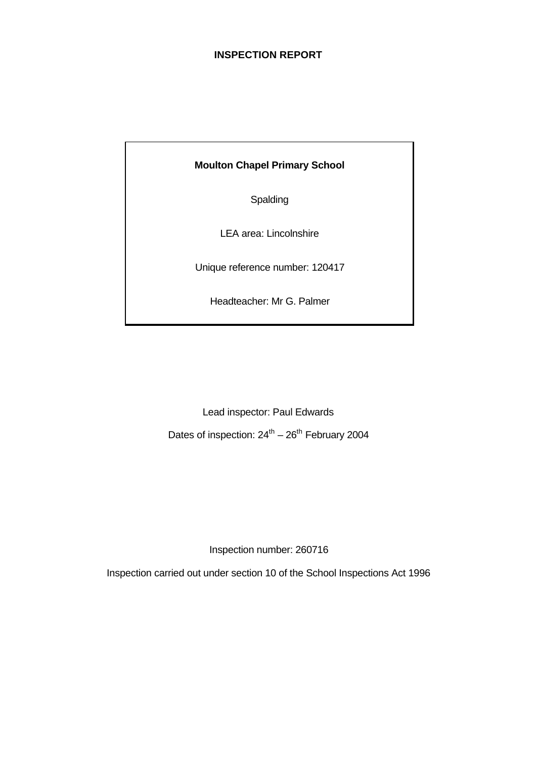### **INSPECTION REPORT**

**Moulton Chapel Primary School**

Spalding

LEA area: Lincolnshire

Unique reference number: 120417

Headteacher: Mr G. Palmer

Lead inspector: Paul Edwards

Dates of inspection:  $24^{\text{th}} - 26^{\text{th}}$  February 2004

Inspection number: 260716

Inspection carried out under section 10 of the School Inspections Act 1996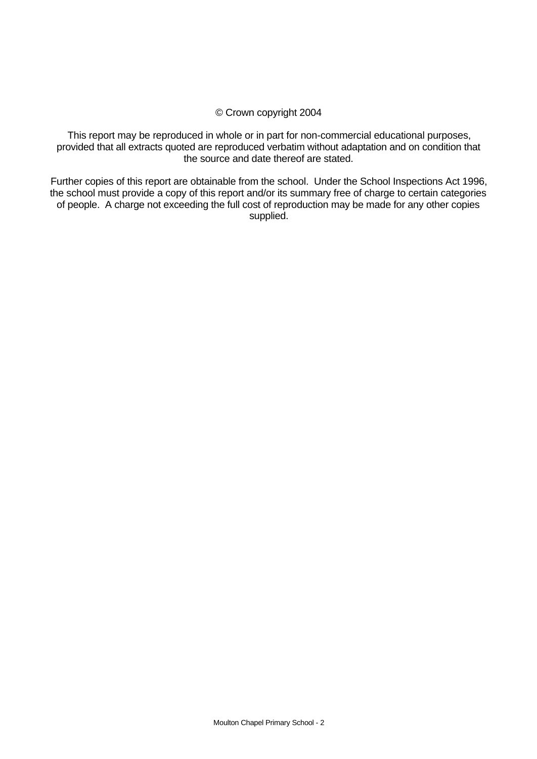#### © Crown copyright 2004

This report may be reproduced in whole or in part for non-commercial educational purposes, provided that all extracts quoted are reproduced verbatim without adaptation and on condition that the source and date thereof are stated.

Further copies of this report are obtainable from the school. Under the School Inspections Act 1996, the school must provide a copy of this report and/or its summary free of charge to certain categories of people. A charge not exceeding the full cost of reproduction may be made for any other copies supplied.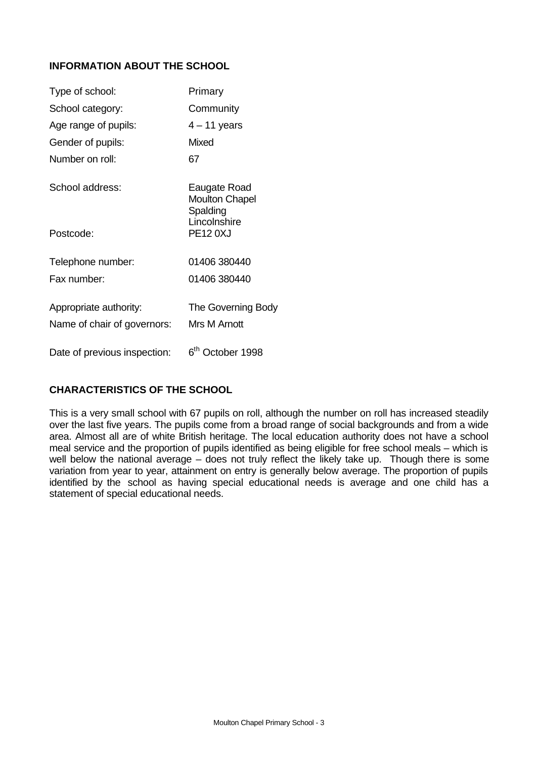# **INFORMATION ABOUT THE SCHOOL**

| Type of school:              | Primary                                           |
|------------------------------|---------------------------------------------------|
| School category:             | Community                                         |
| Age range of pupils:         | $4 - 11$ years                                    |
| Gender of pupils:            | Mixed                                             |
| Number on roll:              | 67                                                |
| School address:              | Eaugate Road<br><b>Moulton Chapel</b><br>Spalding |
| Postcode:                    | Lincolnshire<br><b>PE12 0XJ</b>                   |
| Telephone number:            | 01406 380440                                      |
| Fax number:                  | 01406 380440                                      |
| Appropriate authority:       | The Governing Body                                |
| Name of chair of governors:  | Mrs M Arnott                                      |
| Date of previous inspection: | 6 <sup>th</sup> October 1998                      |

# **CHARACTERISTICS OF THE SCHOOL**

This is a very small school with 67 pupils on roll, although the number on roll has increased steadily over the last five years. The pupils come from a broad range of social backgrounds and from a wide area. Almost all are of white British heritage. The local education authority does not have a school meal service and the proportion of pupils identified as being eligible for free school meals – which is well below the national average – does not truly reflect the likely take up. Though there is some variation from year to year, attainment on entry is generally below average. The proportion of pupils identified by the school as having special educational needs is average and one child has a statement of special educational needs.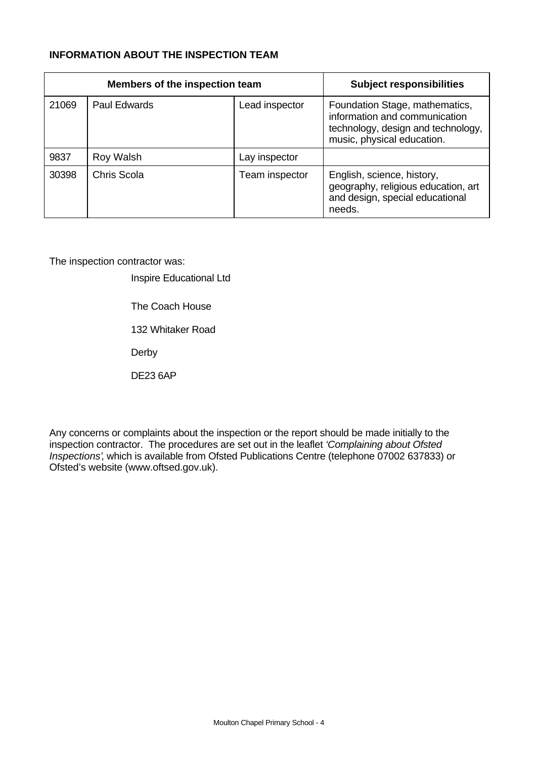# **INFORMATION ABOUT THE INSPECTION TEAM**

| Members of the inspection team |                     |                | <b>Subject responsibilities</b>                                                                                                     |
|--------------------------------|---------------------|----------------|-------------------------------------------------------------------------------------------------------------------------------------|
| 21069                          | <b>Paul Edwards</b> | Lead inspector | Foundation Stage, mathematics,<br>information and communication<br>technology, design and technology,<br>music, physical education. |
| 9837                           | Roy Walsh           | Lay inspector  |                                                                                                                                     |
| 30398                          | Chris Scola         | Team inspector | English, science, history,<br>geography, religious education, art<br>and design, special educational<br>needs.                      |

The inspection contractor was:

Inspire Educational Ltd

The Coach House

132 Whitaker Road

Derby

DE23 6AP

Any concerns or complaints about the inspection or the report should be made initially to the inspection contractor. The procedures are set out in the leaflet *'Complaining about Ofsted Inspections'*, which is available from Ofsted Publications Centre (telephone 07002 637833) or Ofsted's website (www.oftsed.gov.uk).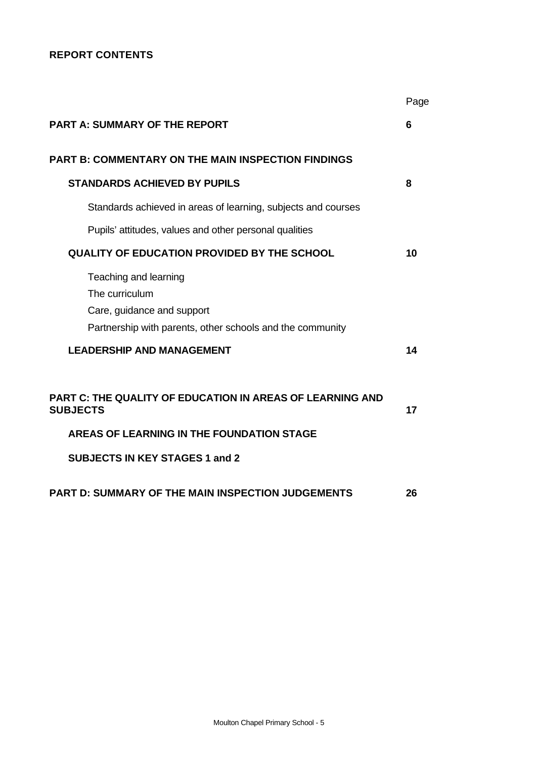# **REPORT CONTENTS**

|                                                                                                                                    | Page |
|------------------------------------------------------------------------------------------------------------------------------------|------|
| <b>PART A: SUMMARY OF THE REPORT</b>                                                                                               | 6    |
| <b>PART B: COMMENTARY ON THE MAIN INSPECTION FINDINGS</b>                                                                          |      |
| <b>STANDARDS ACHIEVED BY PUPILS</b>                                                                                                | 8    |
| Standards achieved in areas of learning, subjects and courses                                                                      |      |
| Pupils' attitudes, values and other personal qualities                                                                             |      |
| <b>QUALITY OF EDUCATION PROVIDED BY THE SCHOOL</b>                                                                                 | 10   |
| Teaching and learning<br>The curriculum<br>Care, guidance and support<br>Partnership with parents, other schools and the community |      |
| <b>LEADERSHIP AND MANAGEMENT</b>                                                                                                   | 14   |
| <b>PART C: THE QUALITY OF EDUCATION IN AREAS OF LEARNING AND</b><br><b>SUBJECTS</b><br>AREAS OF LEARNING IN THE FOUNDATION STAGE   | 17   |
| <b>SUBJECTS IN KEY STAGES 1 and 2</b>                                                                                              |      |
| <b>PART D: SUMMARY OF THE MAIN INSPECTION JUDGEMENTS</b>                                                                           | 26   |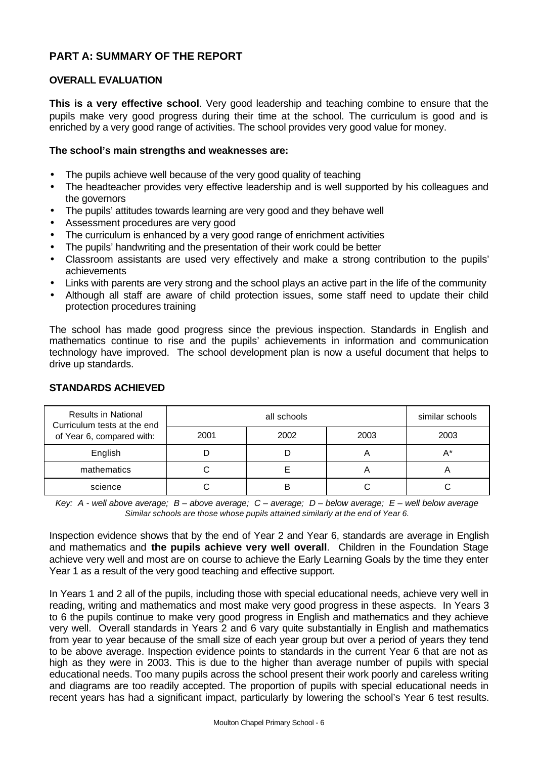# **PART A: SUMMARY OF THE REPORT**

### **OVERALL EVALUATION**

**This is a very effective school**. Very good leadership and teaching combine to ensure that the pupils make very good progress during their time at the school. The curriculum is good and is enriched by a very good range of activities. The school provides very good value for money.

#### **The school's main strengths and weaknesses are:**

- The pupils achieve well because of the very good quality of teaching
- The headteacher provides very effective leadership and is well supported by his colleagues and the governors
- The pupils' attitudes towards learning are very good and they behave well
- Assessment procedures are very good
- The curriculum is enhanced by a very good range of enrichment activities
- The pupils' handwriting and the presentation of their work could be better
- Classroom assistants are used very effectively and make a strong contribution to the pupils' achievements
- Links with parents are very strong and the school plays an active part in the life of the community
- Although all staff are aware of child protection issues, some staff need to update their child protection procedures training

The school has made good progress since the previous inspection. Standards in English and mathematics continue to rise and the pupils' achievements in information and communication technology have improved. The school development plan is now a useful document that helps to drive up standards.

| <b>Results in National</b><br>Curriculum tests at the end<br>of Year 6, compared with: |      | similar schools |      |      |
|----------------------------------------------------------------------------------------|------|-----------------|------|------|
|                                                                                        | 2001 | 2002            | 2003 | 2003 |
| English                                                                                |      |                 |      | A*   |
| mathematics                                                                            |      |                 | m    | m    |
| science                                                                                |      |                 |      |      |

#### **STANDARDS ACHIEVED**

*Key: A - well above average; B – above average; C – average; D – below average; E – well below average Similar schools are those whose pupils attained similarly at the end of Year 6.*

Inspection evidence shows that by the end of Year 2 and Year 6, standards are average in English and mathematics and **the pupils achieve very well overall**. Children in the Foundation Stage achieve very well and most are on course to achieve the Early Learning Goals by the time they enter Year 1 as a result of the very good teaching and effective support.

In Years 1 and 2 all of the pupils, including those with special educational needs, achieve very well in reading, writing and mathematics and most make very good progress in these aspects. In Years 3 to 6 the pupils continue to make very good progress in English and mathematics and they achieve very well. Overall standards in Years 2 and 6 vary quite substantially in English and mathematics from year to year because of the small size of each year group but over a period of years they tend to be above average. Inspection evidence points to standards in the current Year 6 that are not as high as they were in 2003. This is due to the higher than average number of pupils with special educational needs. Too many pupils across the school present their work poorly and careless writing and diagrams are too readily accepted. The proportion of pupils with special educational needs in recent years has had a significant impact, particularly by lowering the school's Year 6 test results.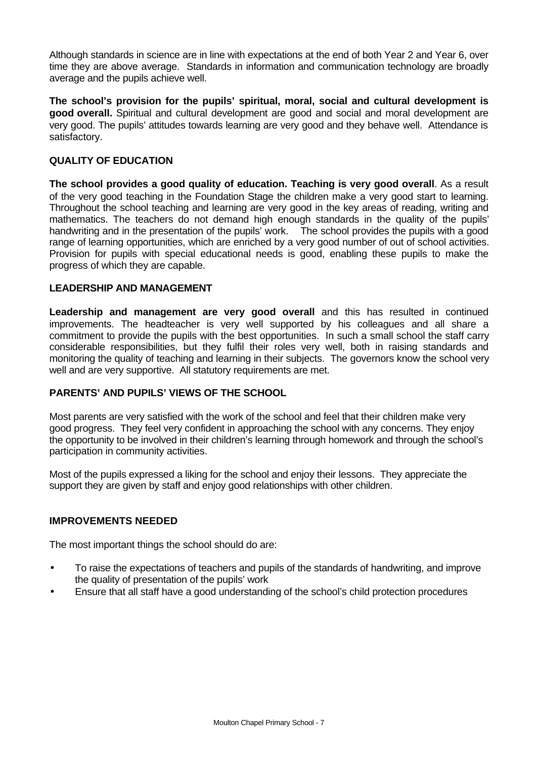Although standards in science are in line with expectations at the end of both Year 2 and Year 6, over time they are above average. Standards in information and communication technology are broadly average and the pupils achieve well.

**The school's provision for the pupils' spiritual, moral, social and cultural development is good overall.** Spiritual and cultural development are good and social and moral development are very good. The pupils' attitudes towards learning are very good and they behave well. Attendance is satisfactory.

### **QUALITY OF EDUCATION**

**The school provides a good quality of education. Teaching is very good overall**. As a result of the very good teaching in the Foundation Stage the children make a very good start to learning. Throughout the school teaching and learning are very good in the key areas of reading, writing and mathematics. The teachers do not demand high enough standards in the quality of the pupils' handwriting and in the presentation of the pupils' work. The school provides the pupils with a good range of learning opportunities, which are enriched by a very good number of out of school activities. Provision for pupils with special educational needs is good, enabling these pupils to make the progress of which they are capable.

#### **LEADERSHIP AND MANAGEMENT**

**Leadership and management are very good overall** and this has resulted in continued improvements. The headteacher is very well supported by his colleagues and all share a commitment to provide the pupils with the best opportunities. In such a small school the staff carry considerable responsibilities, but they fulfil their roles very well, both in raising standards and monitoring the quality of teaching and learning in their subjects. The governors know the school very well and are very supportive. All statutory requirements are met.

# **PARENTS' AND PUPILS' VIEWS OF THE SCHOOL**

Most parents are very satisfied with the work of the school and feel that their children make very good progress. They feel very confident in approaching the school with any concerns. They enjoy the opportunity to be involved in their children's learning through homework and through the school's participation in community activities.

Most of the pupils expressed a liking for the school and enjoy their lessons. They appreciate the support they are given by staff and enjoy good relationships with other children.

#### **IMPROVEMENTS NEEDED**

The most important things the school should do are:

- To raise the expectations of teachers and pupils of the standards of handwriting, and improve the quality of presentation of the pupils' work
- Ensure that all staff have a good understanding of the school's child protection procedures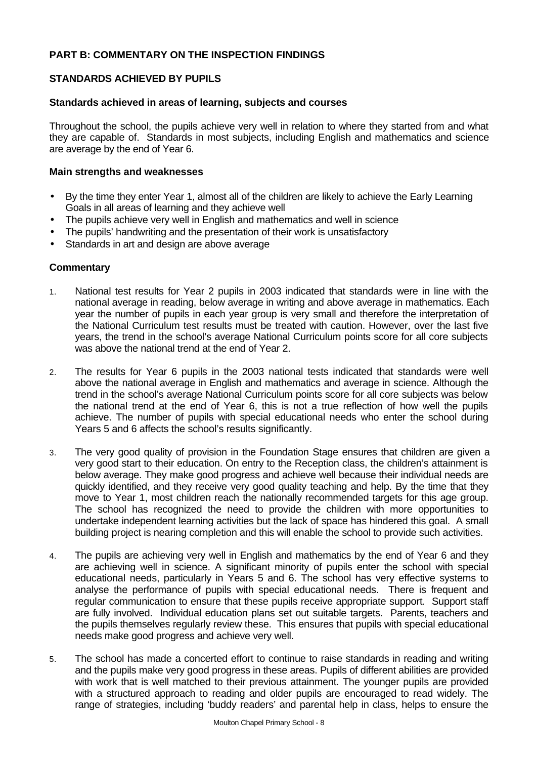### **PART B: COMMENTARY ON THE INSPECTION FINDINGS**

### **STANDARDS ACHIEVED BY PUPILS**

#### **Standards achieved in areas of learning, subjects and courses**

Throughout the school, the pupils achieve very well in relation to where they started from and what they are capable of. Standards in most subjects, including English and mathematics and science are average by the end of Year 6.

#### **Main strengths and weaknesses**

- By the time they enter Year 1, almost all of the children are likely to achieve the Early Learning Goals in all areas of learning and they achieve well
- The pupils achieve very well in English and mathematics and well in science
- The pupils' handwriting and the presentation of their work is unsatisfactory
- Standards in art and design are above average

#### **Commentary**

- 1. National test results for Year 2 pupils in 2003 indicated that standards were in line with the national average in reading, below average in writing and above average in mathematics. Each year the number of pupils in each year group is very small and therefore the interpretation of the National Curriculum test results must be treated with caution. However, over the last five years, the trend in the school's average National Curriculum points score for all core subjects was above the national trend at the end of Year 2.
- 2. The results for Year 6 pupils in the 2003 national tests indicated that standards were well above the national average in English and mathematics and average in science. Although the trend in the school's average National Curriculum points score for all core subjects was below the national trend at the end of Year 6, this is not a true reflection of how well the pupils achieve. The number of pupils with special educational needs who enter the school during Years 5 and 6 affects the school's results significantly.
- 3. The very good quality of provision in the Foundation Stage ensures that children are given a very good start to their education. On entry to the Reception class, the children's attainment is below average. They make good progress and achieve well because their individual needs are quickly identified, and they receive very good quality teaching and help. By the time that they move to Year 1, most children reach the nationally recommended targets for this age group. The school has recognized the need to provide the children with more opportunities to undertake independent learning activities but the lack of space has hindered this goal. A small building project is nearing completion and this will enable the school to provide such activities.
- 4. The pupils are achieving very well in English and mathematics by the end of Year 6 and they are achieving well in science. A significant minority of pupils enter the school with special educational needs, particularly in Years 5 and 6. The school has very effective systems to analyse the performance of pupils with special educational needs. There is frequent and regular communication to ensure that these pupils receive appropriate support. Support staff are fully involved. Individual education plans set out suitable targets. Parents, teachers and the pupils themselves regularly review these. This ensures that pupils with special educational needs make good progress and achieve very well.
- 5. The school has made a concerted effort to continue to raise standards in reading and writing and the pupils make very good progress in these areas. Pupils of different abilities are provided with work that is well matched to their previous attainment. The younger pupils are provided with a structured approach to reading and older pupils are encouraged to read widely. The range of strategies, including 'buddy readers' and parental help in class, helps to ensure the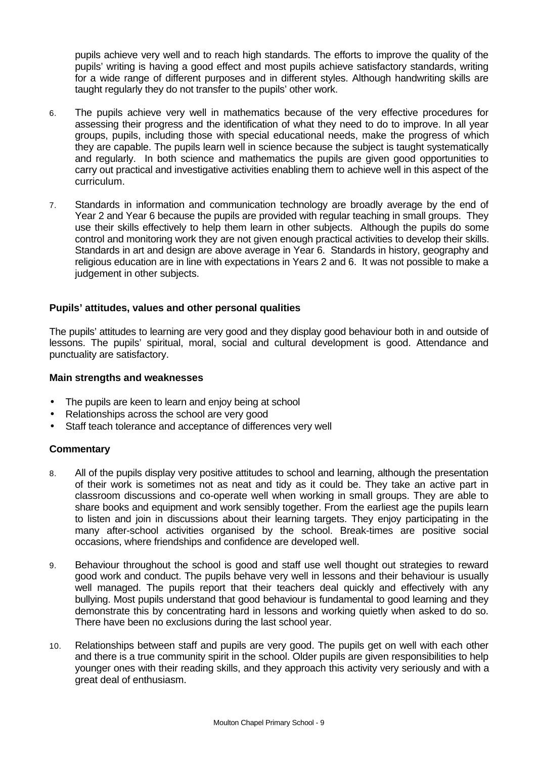pupils achieve very well and to reach high standards. The efforts to improve the quality of the pupils' writing is having a good effect and most pupils achieve satisfactory standards, writing for a wide range of different purposes and in different styles. Although handwriting skills are taught regularly they do not transfer to the pupils' other work.

- 6. The pupils achieve very well in mathematics because of the very effective procedures for assessing their progress and the identification of what they need to do to improve. In all year groups, pupils, including those with special educational needs, make the progress of which they are capable. The pupils learn well in science because the subject is taught systematically and regularly. In both science and mathematics the pupils are given good opportunities to carry out practical and investigative activities enabling them to achieve well in this aspect of the curriculum.
- 7. Standards in information and communication technology are broadly average by the end of Year 2 and Year 6 because the pupils are provided with regular teaching in small groups. They use their skills effectively to help them learn in other subjects. Although the pupils do some control and monitoring work they are not given enough practical activities to develop their skills. Standards in art and design are above average in Year 6. Standards in history, geography and religious education are in line with expectations in Years 2 and 6. It was not possible to make a judgement in other subjects.

#### **Pupils' attitudes, values and other personal qualities**

The pupils' attitudes to learning are very good and they display good behaviour both in and outside of lessons. The pupils' spiritual, moral, social and cultural development is good. Attendance and punctuality are satisfactory.

#### **Main strengths and weaknesses**

- The pupils are keen to learn and enjoy being at school
- Relationships across the school are very good
- Staff teach tolerance and acceptance of differences very well

#### **Commentary**

- 8. All of the pupils display very positive attitudes to school and learning, although the presentation of their work is sometimes not as neat and tidy as it could be. They take an active part in classroom discussions and co-operate well when working in small groups. They are able to share books and equipment and work sensibly together. From the earliest age the pupils learn to listen and join in discussions about their learning targets. They enjoy participating in the many after-school activities organised by the school. Break-times are positive social occasions, where friendships and confidence are developed well.
- 9. Behaviour throughout the school is good and staff use well thought out strategies to reward good work and conduct. The pupils behave very well in lessons and their behaviour is usually well managed. The pupils report that their teachers deal quickly and effectively with any bullying. Most pupils understand that good behaviour is fundamental to good learning and they demonstrate this by concentrating hard in lessons and working quietly when asked to do so. There have been no exclusions during the last school year.
- 10. Relationships between staff and pupils are very good. The pupils get on well with each other and there is a true community spirit in the school. Older pupils are given responsibilities to help younger ones with their reading skills, and they approach this activity very seriously and with a great deal of enthusiasm.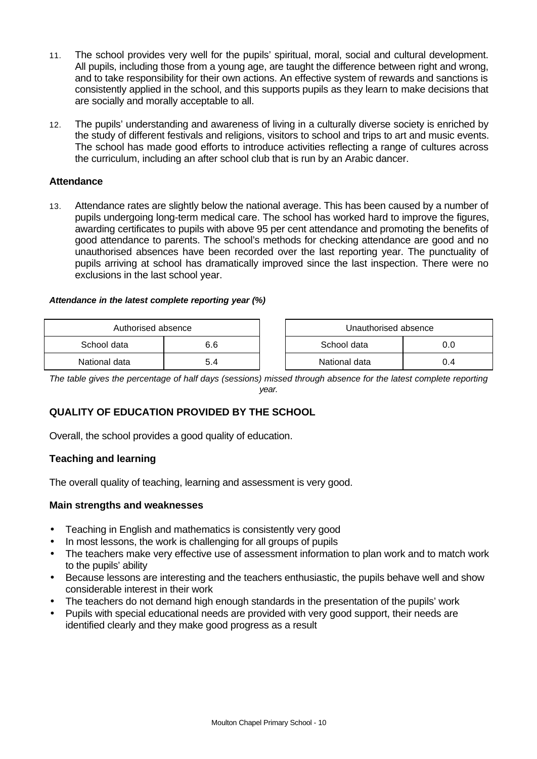- 11. The school provides very well for the pupils' spiritual, moral, social and cultural development. All pupils, including those from a young age, are taught the difference between right and wrong, and to take responsibility for their own actions. An effective system of rewards and sanctions is consistently applied in the school, and this supports pupils as they learn to make decisions that are socially and morally acceptable to all.
- 12. The pupils' understanding and awareness of living in a culturally diverse society is enriched by the study of different festivals and religions, visitors to school and trips to art and music events. The school has made good efforts to introduce activities reflecting a range of cultures across the curriculum, including an after school club that is run by an Arabic dancer.

### **Attendance**

13. Attendance rates are slightly below the national average. This has been caused by a number of pupils undergoing long-term medical care. The school has worked hard to improve the figures, awarding certificates to pupils with above 95 per cent attendance and promoting the benefits of good attendance to parents. The school's methods for checking attendance are good and no unauthorised absences have been recorded over the last reporting year. The punctuality of pupils arriving at school has dramatically improved since the last inspection. There were no exclusions in the last school year.

#### *Attendance in the latest complete reporting year (%)*

| Authorised absence |     | Unauthorised absence |     |  |
|--------------------|-----|----------------------|-----|--|
| School data        | 6.6 | School data          |     |  |
| National data      | 5.4 | National data        | 0.4 |  |

*The table gives the percentage of half days (sessions) missed through absence for the latest complete reporting year.*

# **QUALITY OF EDUCATION PROVIDED BY THE SCHOOL**

Overall, the school provides a good quality of education.

#### **Teaching and learning**

The overall quality of teaching, learning and assessment is very good.

#### **Main strengths and weaknesses**

- Teaching in English and mathematics is consistently very good
- In most lessons, the work is challenging for all groups of pupils
- The teachers make very effective use of assessment information to plan work and to match work to the pupils' ability
- Because lessons are interesting and the teachers enthusiastic, the pupils behave well and show considerable interest in their work
- The teachers do not demand high enough standards in the presentation of the pupils' work
- Pupils with special educational needs are provided with very good support, their needs are identified clearly and they make good progress as a result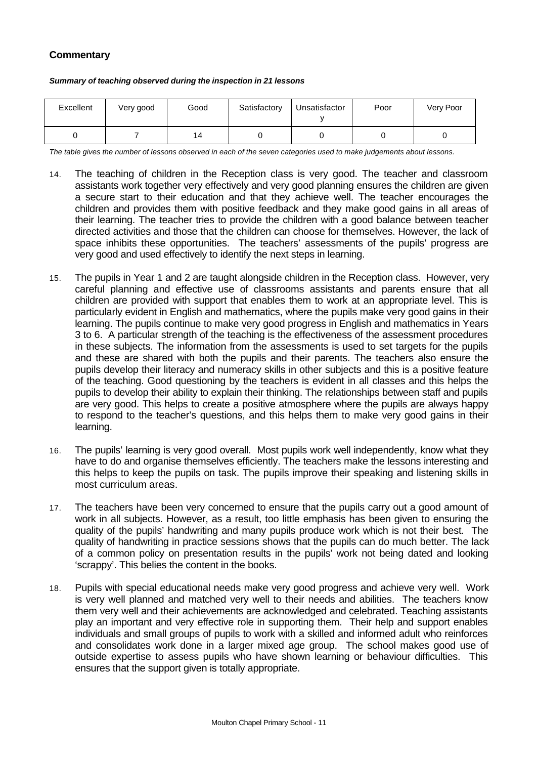# **Commentary**

#### *Summary of teaching observed during the inspection in 21 lessons*

| Excellent | Very good | Good | Satisfactory | Unsatisfactor | Poor | Very Poor |
|-----------|-----------|------|--------------|---------------|------|-----------|
|           |           | 14   |              |               |      |           |

*The table gives the number of lessons observed in each of the seven categories used to make judgements about lessons.*

- 14. The teaching of children in the Reception class is very good. The teacher and classroom assistants work together very effectively and very good planning ensures the children are given a secure start to their education and that they achieve well. The teacher encourages the children and provides them with positive feedback and they make good gains in all areas of their learning. The teacher tries to provide the children with a good balance between teacher directed activities and those that the children can choose for themselves. However, the lack of space inhibits these opportunities. The teachers' assessments of the pupils' progress are very good and used effectively to identify the next steps in learning.
- 15. The pupils in Year 1 and 2 are taught alongside children in the Reception class. However, very careful planning and effective use of classrooms assistants and parents ensure that all children are provided with support that enables them to work at an appropriate level. This is particularly evident in English and mathematics, where the pupils make very good gains in their learning. The pupils continue to make very good progress in English and mathematics in Years 3 to 6. A particular strength of the teaching is the effectiveness of the assessment procedures in these subjects. The information from the assessments is used to set targets for the pupils and these are shared with both the pupils and their parents. The teachers also ensure the pupils develop their literacy and numeracy skills in other subjects and this is a positive feature of the teaching. Good questioning by the teachers is evident in all classes and this helps the pupils to develop their ability to explain their thinking. The relationships between staff and pupils are very good. This helps to create a positive atmosphere where the pupils are always happy to respond to the teacher's questions, and this helps them to make very good gains in their learning.
- 16. The pupils' learning is very good overall. Most pupils work well independently, know what they have to do and organise themselves efficiently. The teachers make the lessons interesting and this helps to keep the pupils on task. The pupils improve their speaking and listening skills in most curriculum areas.
- 17. The teachers have been very concerned to ensure that the pupils carry out a good amount of work in all subjects. However, as a result, too little emphasis has been given to ensuring the quality of the pupils' handwriting and many pupils produce work which is not their best. The quality of handwriting in practice sessions shows that the pupils can do much better. The lack of a common policy on presentation results in the pupils' work not being dated and looking 'scrappy'. This belies the content in the books.
- 18. Pupils with special educational needs make very good progress and achieve very well. Work is very well planned and matched very well to their needs and abilities. The teachers know them very well and their achievements are acknowledged and celebrated. Teaching assistants play an important and very effective role in supporting them. Their help and support enables individuals and small groups of pupils to work with a skilled and informed adult who reinforces and consolidates work done in a larger mixed age group. The school makes good use of outside expertise to assess pupils who have shown learning or behaviour difficulties. This ensures that the support given is totally appropriate.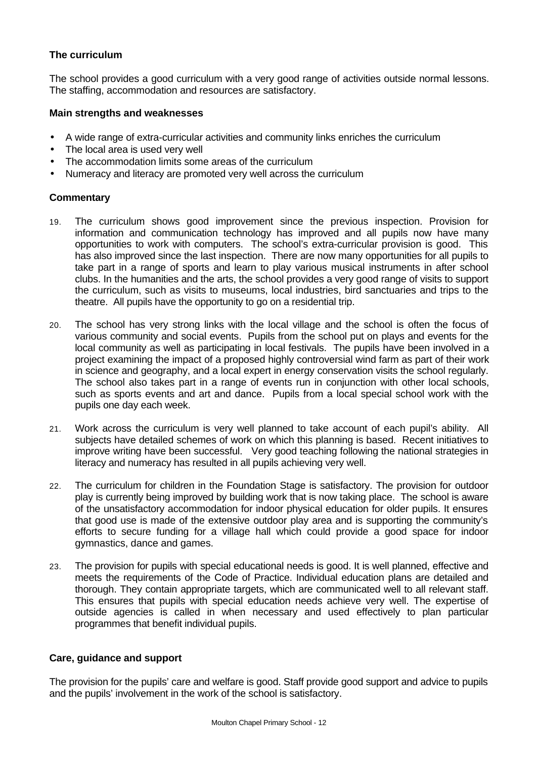### **The curriculum**

The school provides a good curriculum with a very good range of activities outside normal lessons. The staffing, accommodation and resources are satisfactory.

#### **Main strengths and weaknesses**

- A wide range of extra-curricular activities and community links enriches the curriculum
- The local area is used very well
- The accommodation limits some areas of the curriculum
- Numeracy and literacy are promoted very well across the curriculum

#### **Commentary**

- 19. The curriculum shows good improvement since the previous inspection. Provision for information and communication technology has improved and all pupils now have many opportunities to work with computers. The school's extra-curricular provision is good. This has also improved since the last inspection. There are now many opportunities for all pupils to take part in a range of sports and learn to play various musical instruments in after school clubs. In the humanities and the arts, the school provides a very good range of visits to support the curriculum, such as visits to museums, local industries, bird sanctuaries and trips to the theatre. All pupils have the opportunity to go on a residential trip.
- 20. The school has very strong links with the local village and the school is often the focus of various community and social events. Pupils from the school put on plays and events for the local community as well as participating in local festivals. The pupils have been involved in a project examining the impact of a proposed highly controversial wind farm as part of their work in science and geography, and a local expert in energy conservation visits the school regularly. The school also takes part in a range of events run in conjunction with other local schools, such as sports events and art and dance. Pupils from a local special school work with the pupils one day each week.
- 21. Work across the curriculum is very well planned to take account of each pupil's ability. All subjects have detailed schemes of work on which this planning is based. Recent initiatives to improve writing have been successful. Very good teaching following the national strategies in literacy and numeracy has resulted in all pupils achieving very well.
- 22. The curriculum for children in the Foundation Stage is satisfactory. The provision for outdoor play is currently being improved by building work that is now taking place. The school is aware of the unsatisfactory accommodation for indoor physical education for older pupils. It ensures that good use is made of the extensive outdoor play area and is supporting the community's efforts to secure funding for a village hall which could provide a good space for indoor gymnastics, dance and games.
- 23. The provision for pupils with special educational needs is good. It is well planned, effective and meets the requirements of the Code of Practice. Individual education plans are detailed and thorough. They contain appropriate targets, which are communicated well to all relevant staff. This ensures that pupils with special education needs achieve very well. The expertise of outside agencies is called in when necessary and used effectively to plan particular programmes that benefit individual pupils.

#### **Care, guidance and support**

The provision for the pupils' care and welfare is good. Staff provide good support and advice to pupils and the pupils' involvement in the work of the school is satisfactory.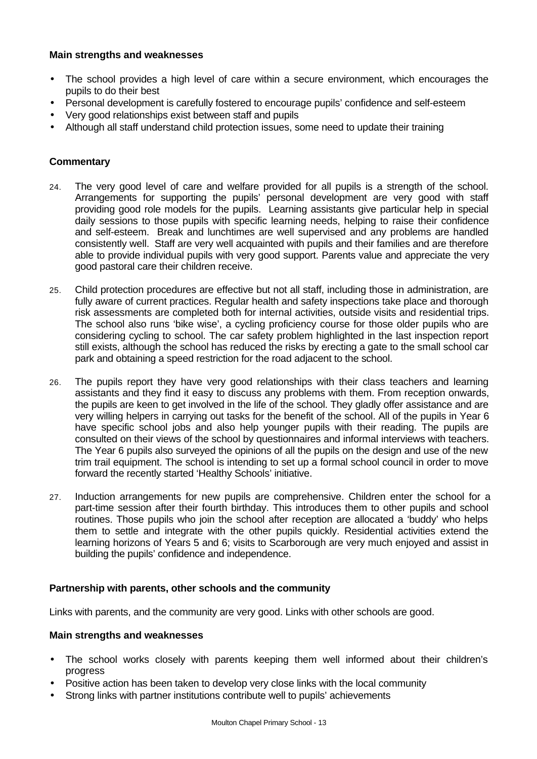#### **Main strengths and weaknesses**

- The school provides a high level of care within a secure environment, which encourages the pupils to do their best
- Personal development is carefully fostered to encourage pupils' confidence and self-esteem
- Very good relationships exist between staff and pupils
- Although all staff understand child protection issues, some need to update their training

#### **Commentary**

- 24. The very good level of care and welfare provided for all pupils is a strength of the school. Arrangements for supporting the pupils' personal development are very good with staff providing good role models for the pupils. Learning assistants give particular help in special daily sessions to those pupils with specific learning needs, helping to raise their confidence and self-esteem. Break and lunchtimes are well supervised and any problems are handled consistently well. Staff are very well acquainted with pupils and their families and are therefore able to provide individual pupils with very good support. Parents value and appreciate the very good pastoral care their children receive.
- 25. Child protection procedures are effective but not all staff, including those in administration, are fully aware of current practices. Regular health and safety inspections take place and thorough risk assessments are completed both for internal activities, outside visits and residential trips. The school also runs 'bike wise', a cycling proficiency course for those older pupils who are considering cycling to school. The car safety problem highlighted in the last inspection report still exists, although the school has reduced the risks by erecting a gate to the small school car park and obtaining a speed restriction for the road adjacent to the school.
- 26. The pupils report they have very good relationships with their class teachers and learning assistants and they find it easy to discuss any problems with them. From reception onwards, the pupils are keen to get involved in the life of the school. They gladly offer assistance and are very willing helpers in carrying out tasks for the benefit of the school. All of the pupils in Year 6 have specific school jobs and also help younger pupils with their reading. The pupils are consulted on their views of the school by questionnaires and informal interviews with teachers. The Year 6 pupils also surveyed the opinions of all the pupils on the design and use of the new trim trail equipment. The school is intending to set up a formal school council in order to move forward the recently started 'Healthy Schools' initiative.
- 27. Induction arrangements for new pupils are comprehensive. Children enter the school for a part-time session after their fourth birthday. This introduces them to other pupils and school routines. Those pupils who join the school after reception are allocated a 'buddy' who helps them to settle and integrate with the other pupils quickly. Residential activities extend the learning horizons of Years 5 and 6; visits to Scarborough are very much enjoyed and assist in building the pupils' confidence and independence.

#### **Partnership with parents, other schools and the community**

Links with parents, and the community are very good. Links with other schools are good.

#### **Main strengths and weaknesses**

- The school works closely with parents keeping them well informed about their children's progress
- Positive action has been taken to develop very close links with the local community
- Strong links with partner institutions contribute well to pupils' achievements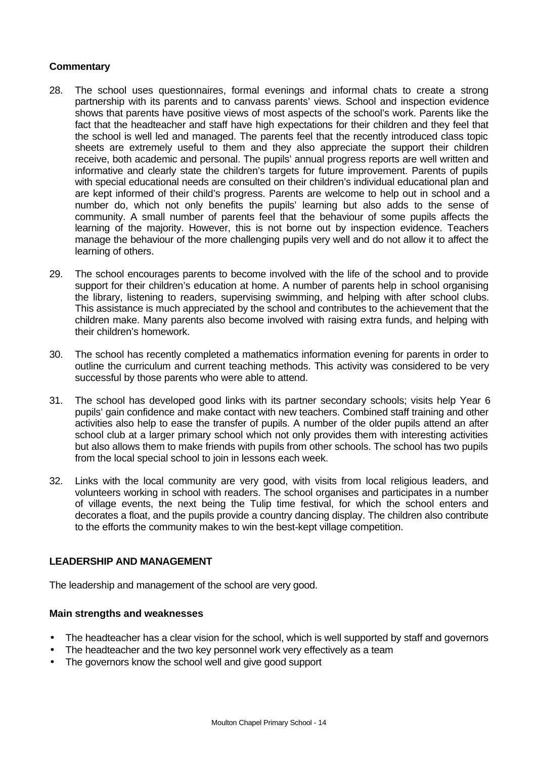### **Commentary**

- 28. The school uses questionnaires, formal evenings and informal chats to create a strong partnership with its parents and to canvass parents' views. School and inspection evidence shows that parents have positive views of most aspects of the school's work. Parents like the fact that the headteacher and staff have high expectations for their children and they feel that the school is well led and managed. The parents feel that the recently introduced class topic sheets are extremely useful to them and they also appreciate the support their children receive, both academic and personal. The pupils' annual progress reports are well written and informative and clearly state the children's targets for future improvement. Parents of pupils with special educational needs are consulted on their children's individual educational plan and are kept informed of their child's progress. Parents are welcome to help out in school and a number do, which not only benefits the pupils' learning but also adds to the sense of community. A small number of parents feel that the behaviour of some pupils affects the learning of the majority. However, this is not borne out by inspection evidence. Teachers manage the behaviour of the more challenging pupils very well and do not allow it to affect the learning of others.
- 29. The school encourages parents to become involved with the life of the school and to provide support for their children's education at home. A number of parents help in school organising the library, listening to readers, supervising swimming, and helping with after school clubs. This assistance is much appreciated by the school and contributes to the achievement that the children make. Many parents also become involved with raising extra funds, and helping with their children's homework.
- 30. The school has recently completed a mathematics information evening for parents in order to outline the curriculum and current teaching methods. This activity was considered to be very successful by those parents who were able to attend.
- 31. The school has developed good links with its partner secondary schools; visits help Year 6 pupils' gain confidence and make contact with new teachers. Combined staff training and other activities also help to ease the transfer of pupils. A number of the older pupils attend an after school club at a larger primary school which not only provides them with interesting activities but also allows them to make friends with pupils from other schools. The school has two pupils from the local special school to join in lessons each week.
- 32. Links with the local community are very good, with visits from local religious leaders, and volunteers working in school with readers. The school organises and participates in a number of village events, the next being the Tulip time festival, for which the school enters and decorates a float, and the pupils provide a country dancing display. The children also contribute to the efforts the community makes to win the best-kept village competition.

# **LEADERSHIP AND MANAGEMENT**

The leadership and management of the school are very good.

#### **Main strengths and weaknesses**

- The headteacher has a clear vision for the school, which is well supported by staff and governors
- The headteacher and the two key personnel work very effectively as a team
- The governors know the school well and give good support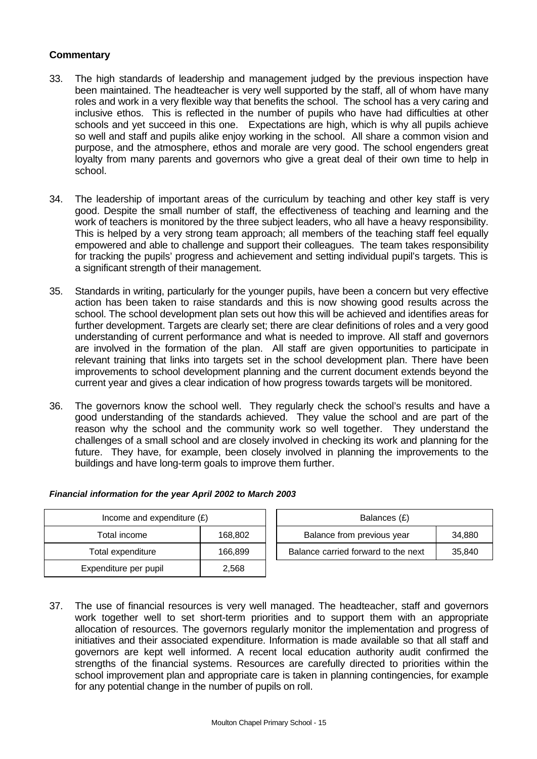### **Commentary**

- 33. The high standards of leadership and management judged by the previous inspection have been maintained. The headteacher is very well supported by the staff, all of whom have many roles and work in a very flexible way that benefits the school. The school has a very caring and inclusive ethos. This is reflected in the number of pupils who have had difficulties at other schools and yet succeed in this one. Expectations are high, which is why all pupils achieve so well and staff and pupils alike enjoy working in the school. All share a common vision and purpose, and the atmosphere, ethos and morale are very good. The school engenders great loyalty from many parents and governors who give a great deal of their own time to help in school.
- 34. The leadership of important areas of the curriculum by teaching and other key staff is very good. Despite the small number of staff, the effectiveness of teaching and learning and the work of teachers is monitored by the three subject leaders, who all have a heavy responsibility. This is helped by a very strong team approach; all members of the teaching staff feel equally empowered and able to challenge and support their colleagues. The team takes responsibility for tracking the pupils' progress and achievement and setting individual pupil's targets. This is a significant strength of their management.
- 35. Standards in writing, particularly for the younger pupils, have been a concern but very effective action has been taken to raise standards and this is now showing good results across the school. The school development plan sets out how this will be achieved and identifies areas for further development. Targets are clearly set; there are clear definitions of roles and a very good understanding of current performance and what is needed to improve. All staff and governors are involved in the formation of the plan. All staff are given opportunities to participate in relevant training that links into targets set in the school development plan. There have been improvements to school development planning and the current document extends beyond the current year and gives a clear indication of how progress towards targets will be monitored.
- 36. The governors know the school well. They regularly check the school's results and have a good understanding of the standards achieved. They value the school and are part of the reason why the school and the community work so well together. They understand the challenges of a small school and are closely involved in checking its work and planning for the future. They have, for example, been closely involved in planning the improvements to the buildings and have long-term goals to improve them further.

| Income and expenditure $(E)$ |         | Balances (£)                                  |  |
|------------------------------|---------|-----------------------------------------------|--|
| Total income                 | 168,802 | 34,880<br>Balance from previous year          |  |
| Total expenditure            | 166,899 | Balance carried forward to the next<br>35,840 |  |
| Expenditure per pupil        | 2,568   |                                               |  |

#### *Financial information for the year April 2002 to March 2003*

37. The use of financial resources is very well managed. The headteacher, staff and governors work together well to set short-term priorities and to support them with an appropriate allocation of resources. The governors regularly monitor the implementation and progress of initiatives and their associated expenditure. Information is made available so that all staff and governors are kept well informed. A recent local education authority audit confirmed the strengths of the financial systems. Resources are carefully directed to priorities within the school improvement plan and appropriate care is taken in planning contingencies, for example for any potential change in the number of pupils on roll.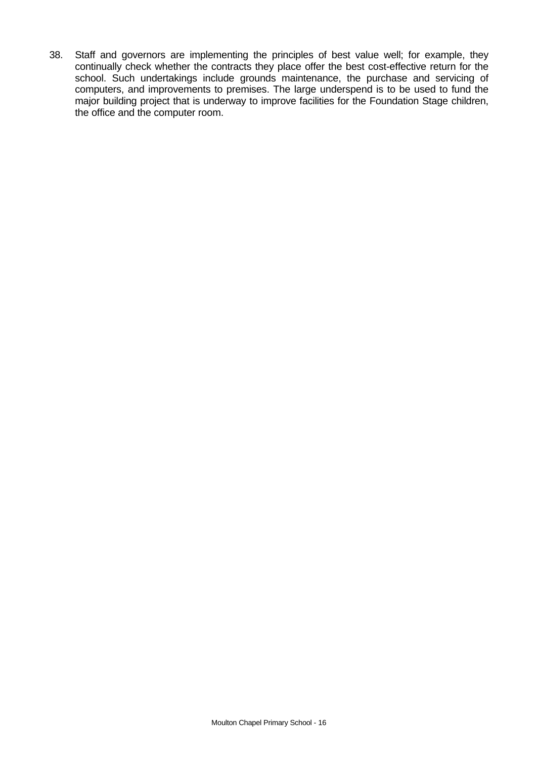38. Staff and governors are implementing the principles of best value well; for example, they continually check whether the contracts they place offer the best cost-effective return for the school. Such undertakings include grounds maintenance, the purchase and servicing of computers, and improvements to premises. The large underspend is to be used to fund the major building project that is underway to improve facilities for the Foundation Stage children, the office and the computer room.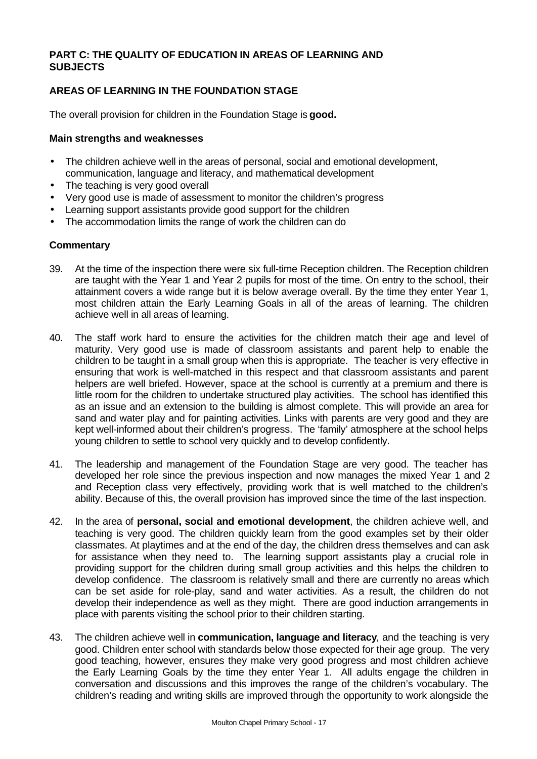### **PART C: THE QUALITY OF EDUCATION IN AREAS OF LEARNING AND SUBJECTS**

# **AREAS OF LEARNING IN THE FOUNDATION STAGE**

The overall provision for children in the Foundation Stage is **good.**

#### **Main strengths and weaknesses**

- The children achieve well in the areas of personal, social and emotional development, communication, language and literacy, and mathematical development
- The teaching is very good overall
- Very good use is made of assessment to monitor the children's progress
- Learning support assistants provide good support for the children
- The accommodation limits the range of work the children can do

#### **Commentary**

- 39. At the time of the inspection there were six full-time Reception children. The Reception children are taught with the Year 1 and Year 2 pupils for most of the time. On entry to the school, their attainment covers a wide range but it is below average overall. By the time they enter Year 1, most children attain the Early Learning Goals in all of the areas of learning. The children achieve well in all areas of learning.
- 40. The staff work hard to ensure the activities for the children match their age and level of maturity. Very good use is made of classroom assistants and parent help to enable the children to be taught in a small group when this is appropriate. The teacher is very effective in ensuring that work is well-matched in this respect and that classroom assistants and parent helpers are well briefed. However, space at the school is currently at a premium and there is little room for the children to undertake structured play activities. The school has identified this as an issue and an extension to the building is almost complete. This will provide an area for sand and water play and for painting activities. Links with parents are very good and they are kept well-informed about their children's progress. The 'family' atmosphere at the school helps young children to settle to school very quickly and to develop confidently.
- 41. The leadership and management of the Foundation Stage are very good. The teacher has developed her role since the previous inspection and now manages the mixed Year 1 and 2 and Reception class very effectively, providing work that is well matched to the children's ability. Because of this, the overall provision has improved since the time of the last inspection.
- 42. In the area of **personal, social and emotional development**, the children achieve well, and teaching is very good. The children quickly learn from the good examples set by their older classmates. At playtimes and at the end of the day, the children dress themselves and can ask for assistance when they need to. The learning support assistants play a crucial role in providing support for the children during small group activities and this helps the children to develop confidence. The classroom is relatively small and there are currently no areas which can be set aside for role-play, sand and water activities. As a result, the children do not develop their independence as well as they might. There are good induction arrangements in place with parents visiting the school prior to their children starting.
- 43. The children achieve well in **communication, language and literacy**, and the teaching is very good. Children enter school with standards below those expected for their age group. The very good teaching, however, ensures they make very good progress and most children achieve the Early Learning Goals by the time they enter Year 1. All adults engage the children in conversation and discussions and this improves the range of the children's vocabulary. The children's reading and writing skills are improved through the opportunity to work alongside the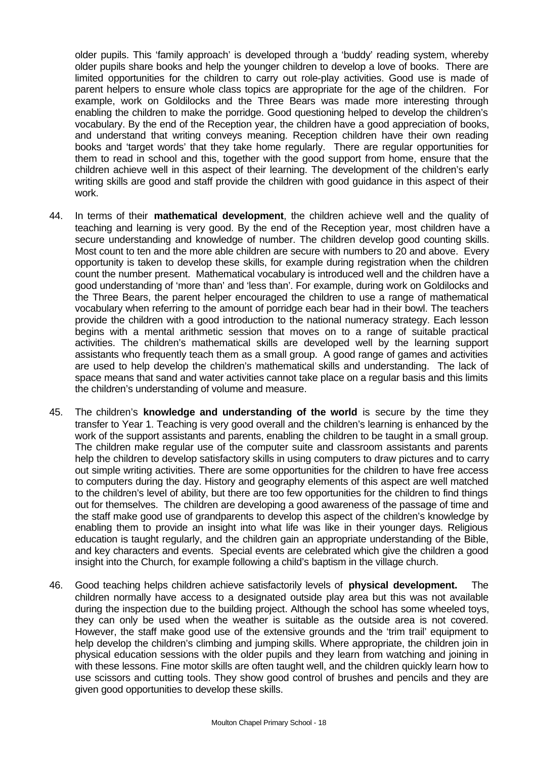older pupils. This 'family approach' is developed through a 'buddy' reading system, whereby older pupils share books and help the younger children to develop a love of books. There are limited opportunities for the children to carry out role-play activities. Good use is made of parent helpers to ensure whole class topics are appropriate for the age of the children. For example, work on Goldilocks and the Three Bears was made more interesting through enabling the children to make the porridge. Good questioning helped to develop the children's vocabulary. By the end of the Reception year, the children have a good appreciation of books, and understand that writing conveys meaning. Reception children have their own reading books and 'target words' that they take home regularly. There are regular opportunities for them to read in school and this, together with the good support from home, ensure that the children achieve well in this aspect of their learning. The development of the children's early writing skills are good and staff provide the children with good guidance in this aspect of their work.

- 44. In terms of their **mathematical development**, the children achieve well and the quality of teaching and learning is very good. By the end of the Reception year, most children have a secure understanding and knowledge of number. The children develop good counting skills. Most count to ten and the more able children are secure with numbers to 20 and above. Every opportunity is taken to develop these skills, for example during registration when the children count the number present. Mathematical vocabulary is introduced well and the children have a good understanding of 'more than' and 'less than'. For example, during work on Goldilocks and the Three Bears, the parent helper encouraged the children to use a range of mathematical vocabulary when referring to the amount of porridge each bear had in their bowl. The teachers provide the children with a good introduction to the national numeracy strategy. Each lesson begins with a mental arithmetic session that moves on to a range of suitable practical activities. The children's mathematical skills are developed well by the learning support assistants who frequently teach them as a small group. A good range of games and activities are used to help develop the children's mathematical skills and understanding. The lack of space means that sand and water activities cannot take place on a regular basis and this limits the children's understanding of volume and measure.
- 45. The children's **knowledge and understanding of the world** is secure by the time they transfer to Year 1. Teaching is very good overall and the children's learning is enhanced by the work of the support assistants and parents, enabling the children to be taught in a small group. The children make regular use of the computer suite and classroom assistants and parents help the children to develop satisfactory skills in using computers to draw pictures and to carry out simple writing activities. There are some opportunities for the children to have free access to computers during the day. History and geography elements of this aspect are well matched to the children's level of ability, but there are too few opportunities for the children to find things out for themselves. The children are developing a good awareness of the passage of time and the staff make good use of grandparents to develop this aspect of the children's knowledge by enabling them to provide an insight into what life was like in their younger days. Religious education is taught regularly, and the children gain an appropriate understanding of the Bible, and key characters and events. Special events are celebrated which give the children a good insight into the Church, for example following a child's baptism in the village church.
- 46. Good teaching helps children achieve satisfactorily levels of **physical development.** The children normally have access to a designated outside play area but this was not available during the inspection due to the building project. Although the school has some wheeled toys, they can only be used when the weather is suitable as the outside area is not covered. However, the staff make good use of the extensive grounds and the 'trim trail' equipment to help develop the children's climbing and jumping skills. Where appropriate, the children join in physical education sessions with the older pupils and they learn from watching and joining in with these lessons. Fine motor skills are often taught well, and the children quickly learn how to use scissors and cutting tools. They show good control of brushes and pencils and they are given good opportunities to develop these skills.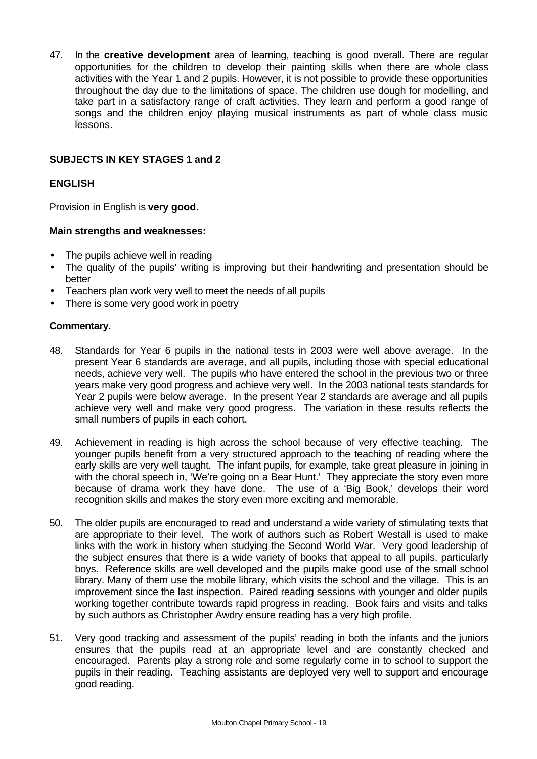47. In the **creative development** area of learning, teaching is good overall. There are regular opportunities for the children to develop their painting skills when there are whole class activities with the Year 1 and 2 pupils. However, it is not possible to provide these opportunities throughout the day due to the limitations of space. The children use dough for modelling, and take part in a satisfactory range of craft activities. They learn and perform a good range of songs and the children enjoy playing musical instruments as part of whole class music lessons.

### **SUBJECTS IN KEY STAGES 1 and 2**

### **ENGLISH**

Provision in English is **very good**.

#### **Main strengths and weaknesses:**

- The pupils achieve well in reading
- The quality of the pupils' writing is improving but their handwriting and presentation should be better
- Teachers plan work very well to meet the needs of all pupils
- There is some very good work in poetry

#### **Commentary.**

- 48. Standards for Year 6 pupils in the national tests in 2003 were well above average. In the present Year 6 standards are average, and all pupils, including those with special educational needs, achieve very well. The pupils who have entered the school in the previous two or three years make very good progress and achieve very well. In the 2003 national tests standards for Year 2 pupils were below average. In the present Year 2 standards are average and all pupils achieve very well and make very good progress. The variation in these results reflects the small numbers of pupils in each cohort.
- 49. Achievement in reading is high across the school because of very effective teaching. The younger pupils benefit from a very structured approach to the teaching of reading where the early skills are very well taught. The infant pupils, for example, take great pleasure in joining in with the choral speech in, 'We're going on a Bear Hunt.' They appreciate the story even more because of drama work they have done. The use of a 'Big Book,' develops their word recognition skills and makes the story even more exciting and memorable.
- 50. The older pupils are encouraged to read and understand a wide variety of stimulating texts that are appropriate to their level. The work of authors such as Robert Westall is used to make links with the work in history when studying the Second World War. Very good leadership of the subject ensures that there is a wide variety of books that appeal to all pupils, particularly boys. Reference skills are well developed and the pupils make good use of the small school library. Many of them use the mobile library, which visits the school and the village. This is an improvement since the last inspection. Paired reading sessions with younger and older pupils working together contribute towards rapid progress in reading. Book fairs and visits and talks by such authors as Christopher Awdry ensure reading has a very high profile.
- 51. Very good tracking and assessment of the pupils' reading in both the infants and the juniors ensures that the pupils read at an appropriate level and are constantly checked and encouraged. Parents play a strong role and some regularly come in to school to support the pupils in their reading. Teaching assistants are deployed very well to support and encourage good reading.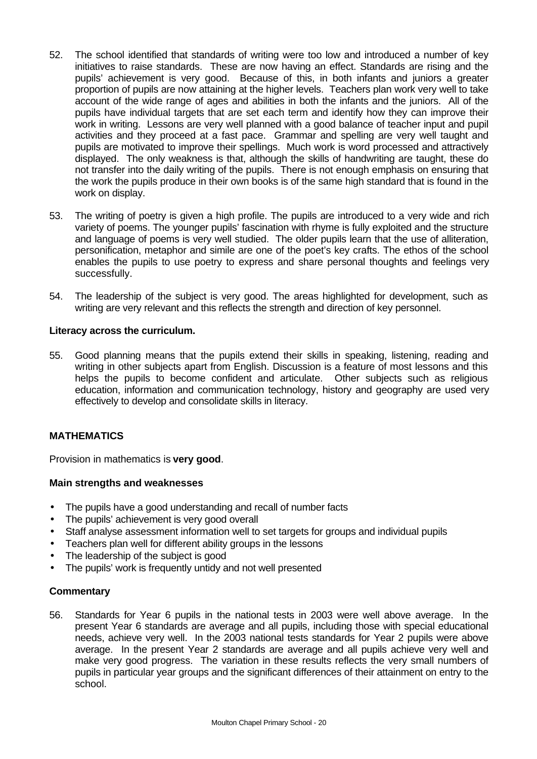- 52. The school identified that standards of writing were too low and introduced a number of key initiatives to raise standards. These are now having an effect. Standards are rising and the pupils' achievement is very good. Because of this, in both infants and juniors a greater proportion of pupils are now attaining at the higher levels. Teachers plan work very well to take account of the wide range of ages and abilities in both the infants and the juniors. All of the pupils have individual targets that are set each term and identify how they can improve their work in writing. Lessons are very well planned with a good balance of teacher input and pupil activities and they proceed at a fast pace. Grammar and spelling are very well taught and pupils are motivated to improve their spellings. Much work is word processed and attractively displayed. The only weakness is that, although the skills of handwriting are taught, these do not transfer into the daily writing of the pupils. There is not enough emphasis on ensuring that the work the pupils produce in their own books is of the same high standard that is found in the work on display.
- 53. The writing of poetry is given a high profile. The pupils are introduced to a very wide and rich variety of poems. The younger pupils' fascination with rhyme is fully exploited and the structure and language of poems is very well studied. The older pupils learn that the use of alliteration, personification, metaphor and simile are one of the poet's key crafts. The ethos of the school enables the pupils to use poetry to express and share personal thoughts and feelings very successfully.
- 54. The leadership of the subject is very good. The areas highlighted for development, such as writing are very relevant and this reflects the strength and direction of key personnel.

#### **Literacy across the curriculum.**

55. Good planning means that the pupils extend their skills in speaking, listening, reading and writing in other subjects apart from English. Discussion is a feature of most lessons and this helps the pupils to become confident and articulate. Other subjects such as religious education, information and communication technology, history and geography are used very effectively to develop and consolidate skills in literacy.

#### **MATHEMATICS**

Provision in mathematics is **very good**.

#### **Main strengths and weaknesses**

- The pupils have a good understanding and recall of number facts
- The pupils' achievement is very good overall
- Staff analyse assessment information well to set targets for groups and individual pupils
- Teachers plan well for different ability groups in the lessons
- The leadership of the subject is good
- The pupils' work is frequently untidy and not well presented

#### **Commentary**

56. Standards for Year 6 pupils in the national tests in 2003 were well above average. In the present Year 6 standards are average and all pupils, including those with special educational needs, achieve very well. In the 2003 national tests standards for Year 2 pupils were above average. In the present Year 2 standards are average and all pupils achieve very well and make very good progress. The variation in these results reflects the very small numbers of pupils in particular year groups and the significant differences of their attainment on entry to the school.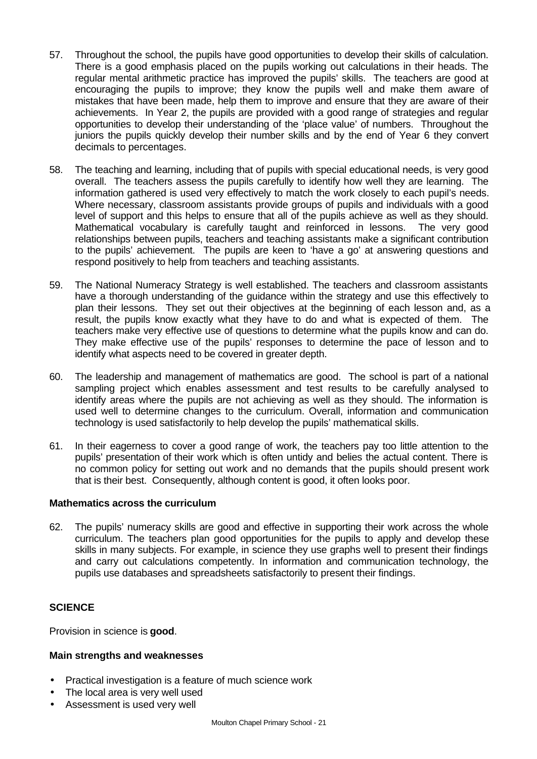- 57. Throughout the school, the pupils have good opportunities to develop their skills of calculation. There is a good emphasis placed on the pupils working out calculations in their heads. The regular mental arithmetic practice has improved the pupils' skills. The teachers are good at encouraging the pupils to improve; they know the pupils well and make them aware of mistakes that have been made, help them to improve and ensure that they are aware of their achievements. In Year 2, the pupils are provided with a good range of strategies and regular opportunities to develop their understanding of the 'place value' of numbers. Throughout the juniors the pupils quickly develop their number skills and by the end of Year 6 they convert decimals to percentages.
- 58. The teaching and learning, including that of pupils with special educational needs, is very good overall. The teachers assess the pupils carefully to identify how well they are learning. The information gathered is used very effectively to match the work closely to each pupil's needs. Where necessary, classroom assistants provide groups of pupils and individuals with a good level of support and this helps to ensure that all of the pupils achieve as well as they should. Mathematical vocabulary is carefully taught and reinforced in lessons. The very good relationships between pupils, teachers and teaching assistants make a significant contribution to the pupils' achievement. The pupils are keen to 'have a go' at answering questions and respond positively to help from teachers and teaching assistants.
- 59. The National Numeracy Strategy is well established. The teachers and classroom assistants have a thorough understanding of the guidance within the strategy and use this effectively to plan their lessons. They set out their objectives at the beginning of each lesson and, as a result, the pupils know exactly what they have to do and what is expected of them. The teachers make very effective use of questions to determine what the pupils know and can do. They make effective use of the pupils' responses to determine the pace of lesson and to identify what aspects need to be covered in greater depth.
- 60. The leadership and management of mathematics are good. The school is part of a national sampling project which enables assessment and test results to be carefully analysed to identify areas where the pupils are not achieving as well as they should. The information is used well to determine changes to the curriculum. Overall, information and communication technology is used satisfactorily to help develop the pupils' mathematical skills.
- 61. In their eagerness to cover a good range of work, the teachers pay too little attention to the pupils' presentation of their work which is often untidy and belies the actual content. There is no common policy for setting out work and no demands that the pupils should present work that is their best. Consequently, although content is good, it often looks poor.

#### **Mathematics across the curriculum**

62. The pupils' numeracy skills are good and effective in supporting their work across the whole curriculum. The teachers plan good opportunities for the pupils to apply and develop these skills in many subjects. For example, in science they use graphs well to present their findings and carry out calculations competently. In information and communication technology, the pupils use databases and spreadsheets satisfactorily to present their findings.

#### **SCIENCE**

Provision in science is **good**.

#### **Main strengths and weaknesses**

- Practical investigation is a feature of much science work
- The local area is very well used
- Assessment is used very well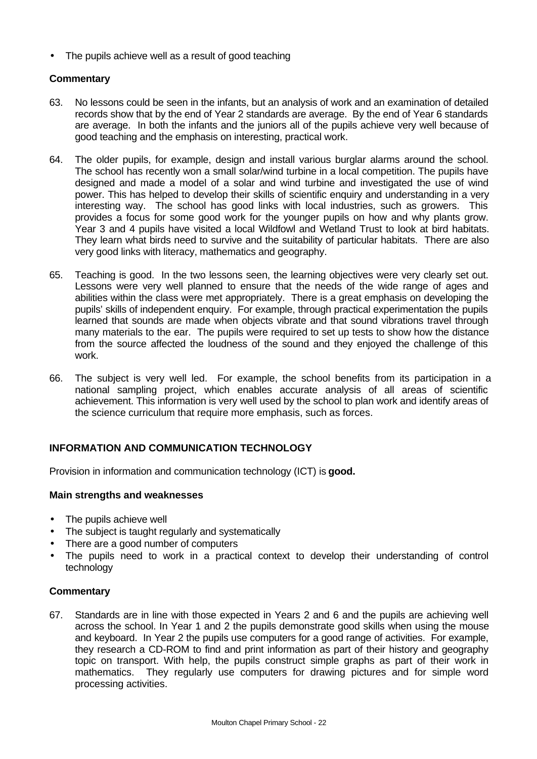• The pupils achieve well as a result of good teaching

### **Commentary**

- 63. No lessons could be seen in the infants, but an analysis of work and an examination of detailed records show that by the end of Year 2 standards are average. By the end of Year 6 standards are average. In both the infants and the juniors all of the pupils achieve very well because of good teaching and the emphasis on interesting, practical work.
- 64. The older pupils, for example, design and install various burglar alarms around the school. The school has recently won a small solar/wind turbine in a local competition. The pupils have designed and made a model of a solar and wind turbine and investigated the use of wind power. This has helped to develop their skills of scientific enquiry and understanding in a very interesting way. The school has good links with local industries, such as growers. This provides a focus for some good work for the younger pupils on how and why plants grow. Year 3 and 4 pupils have visited a local Wildfowl and Wetland Trust to look at bird habitats. They learn what birds need to survive and the suitability of particular habitats. There are also very good links with literacy, mathematics and geography.
- 65. Teaching is good. In the two lessons seen, the learning objectives were very clearly set out. Lessons were very well planned to ensure that the needs of the wide range of ages and abilities within the class were met appropriately. There is a great emphasis on developing the pupils' skills of independent enquiry. For example, through practical experimentation the pupils learned that sounds are made when objects vibrate and that sound vibrations travel through many materials to the ear. The pupils were required to set up tests to show how the distance from the source affected the loudness of the sound and they enjoyed the challenge of this work.
- 66. The subject is very well led. For example, the school benefits from its participation in a national sampling project, which enables accurate analysis of all areas of scientific achievement. This information is very well used by the school to plan work and identify areas of the science curriculum that require more emphasis, such as forces.

# **INFORMATION AND COMMUNICATION TECHNOLOGY**

Provision in information and communication technology (ICT) is **good.**

#### **Main strengths and weaknesses**

- The pupils achieve well
- The subject is taught regularly and systematically
- There are a good number of computers
- The pupils need to work in a practical context to develop their understanding of control technology

#### **Commentary**

67. Standards are in line with those expected in Years 2 and 6 and the pupils are achieving well across the school. In Year 1 and 2 the pupils demonstrate good skills when using the mouse and keyboard. In Year 2 the pupils use computers for a good range of activities. For example, they research a CD-ROM to find and print information as part of their history and geography topic on transport. With help, the pupils construct simple graphs as part of their work in mathematics. They regularly use computers for drawing pictures and for simple word processing activities.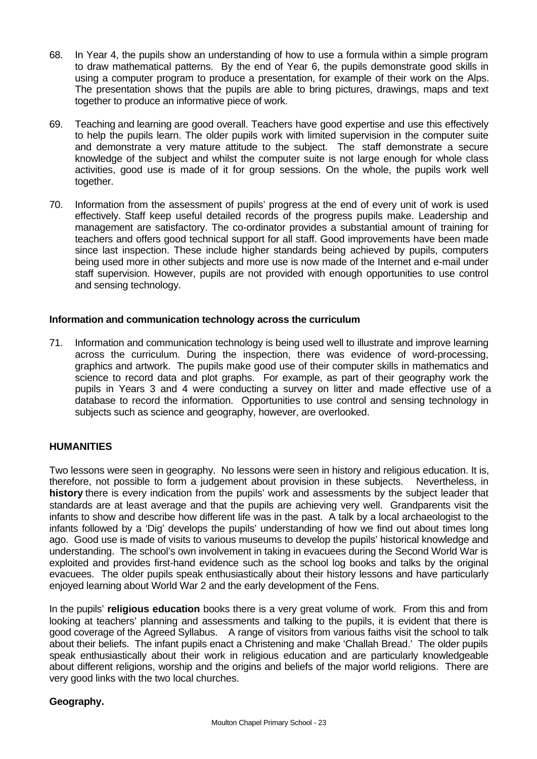- 68. In Year 4, the pupils show an understanding of how to use a formula within a simple program to draw mathematical patterns. By the end of Year 6, the pupils demonstrate good skills in using a computer program to produce a presentation, for example of their work on the Alps. The presentation shows that the pupils are able to bring pictures, drawings, maps and text together to produce an informative piece of work.
- 69. Teaching and learning are good overall. Teachers have good expertise and use this effectively to help the pupils learn. The older pupils work with limited supervision in the computer suite and demonstrate a very mature attitude to the subject. The staff demonstrate a secure knowledge of the subject and whilst the computer suite is not large enough for whole class activities, good use is made of it for group sessions. On the whole, the pupils work well together.
- 70. Information from the assessment of pupils' progress at the end of every unit of work is used effectively. Staff keep useful detailed records of the progress pupils make. Leadership and management are satisfactory. The co-ordinator provides a substantial amount of training for teachers and offers good technical support for all staff. Good improvements have been made since last inspection. These include higher standards being achieved by pupils, computers being used more in other subjects and more use is now made of the Internet and e-mail under staff supervision. However, pupils are not provided with enough opportunities to use control and sensing technology.

### **Information and communication technology across the curriculum**

71. Information and communication technology is being used well to illustrate and improve learning across the curriculum. During the inspection, there was evidence of word-processing, graphics and artwork. The pupils make good use of their computer skills in mathematics and science to record data and plot graphs. For example, as part of their geography work the pupils in Years 3 and 4 were conducting a survey on litter and made effective use of a database to record the information. Opportunities to use control and sensing technology in subjects such as science and geography, however, are overlooked.

#### **HUMANITIES**

Two lessons were seen in geography. No lessons were seen in history and religious education. It is, therefore, not possible to form a judgement about provision in these subjects. Nevertheless, in **history** there is every indication from the pupils' work and assessments by the subject leader that standards are at least average and that the pupils are achieving very well. Grandparents visit the infants to show and describe how different life was in the past. A talk by a local archaeologist to the infants followed by a 'Dig' develops the pupils' understanding of how we find out about times long ago. Good use is made of visits to various museums to develop the pupils' historical knowledge and understanding. The school's own involvement in taking in evacuees during the Second World War is exploited and provides first-hand evidence such as the school log books and talks by the original evacuees. The older pupils speak enthusiastically about their history lessons and have particularly enjoyed learning about World War 2 and the early development of the Fens.

In the pupils' **religious education** books there is a very great volume of work. From this and from looking at teachers' planning and assessments and talking to the pupils, it is evident that there is good coverage of the Agreed Syllabus. A range of visitors from various faiths visit the school to talk about their beliefs. The infant pupils enact a Christening and make 'Challah Bread.' The older pupils speak enthusiastically about their work in religious education and are particularly knowledgeable about different religions, worship and the origins and beliefs of the major world religions. There are very good links with the two local churches.

#### **Geography.**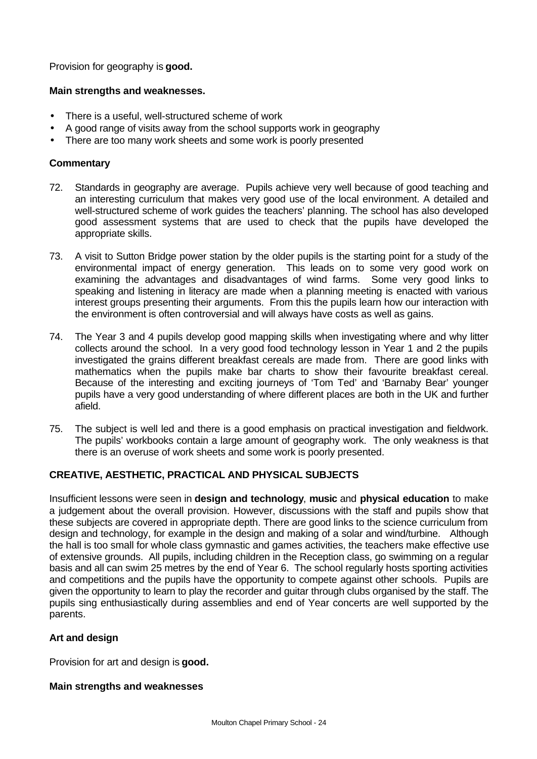Provision for geography is **good.**

### **Main strengths and weaknesses.**

- There is a useful, well-structured scheme of work
- A good range of visits away from the school supports work in geography
- There are too many work sheets and some work is poorly presented

### **Commentary**

- 72. Standards in geography are average. Pupils achieve very well because of good teaching and an interesting curriculum that makes very good use of the local environment. A detailed and well-structured scheme of work guides the teachers' planning. The school has also developed good assessment systems that are used to check that the pupils have developed the appropriate skills.
- 73. A visit to Sutton Bridge power station by the older pupils is the starting point for a study of the environmental impact of energy generation. This leads on to some very good work on examining the advantages and disadvantages of wind farms. Some very good links to speaking and listening in literacy are made when a planning meeting is enacted with various interest groups presenting their arguments. From this the pupils learn how our interaction with the environment is often controversial and will always have costs as well as gains.
- 74. The Year 3 and 4 pupils develop good mapping skills when investigating where and why litter collects around the school. In a very good food technology lesson in Year 1 and 2 the pupils investigated the grains different breakfast cereals are made from. There are good links with mathematics when the pupils make bar charts to show their favourite breakfast cereal. Because of the interesting and exciting journeys of 'Tom Ted' and 'Barnaby Bear' younger pupils have a very good understanding of where different places are both in the UK and further afield.
- 75. The subject is well led and there is a good emphasis on practical investigation and fieldwork. The pupils' workbooks contain a large amount of geography work. The only weakness is that there is an overuse of work sheets and some work is poorly presented.

#### **CREATIVE, AESTHETIC, PRACTICAL AND PHYSICAL SUBJECTS**

Insufficient lessons were seen in **design and technology**, **music** and **physical education** to make a judgement about the overall provision. However, discussions with the staff and pupils show that these subjects are covered in appropriate depth. There are good links to the science curriculum from design and technology, for example in the design and making of a solar and wind/turbine. Although the hall is too small for whole class gymnastic and games activities, the teachers make effective use of extensive grounds. All pupils, including children in the Reception class, go swimming on a regular basis and all can swim 25 metres by the end of Year 6. The school regularly hosts sporting activities and competitions and the pupils have the opportunity to compete against other schools. Pupils are given the opportunity to learn to play the recorder and guitar through clubs organised by the staff. The pupils sing enthusiastically during assemblies and end of Year concerts are well supported by the parents.

#### **Art and design**

Provision for art and design is **good.**

#### **Main strengths and weaknesses**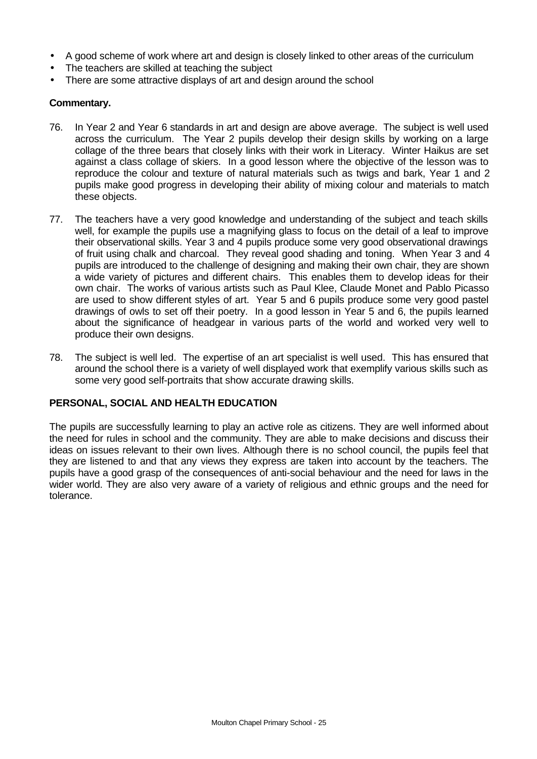- A good scheme of work where art and design is closely linked to other areas of the curriculum
- The teachers are skilled at teaching the subject
- There are some attractive displays of art and design around the school

#### **Commentary.**

- 76. In Year 2 and Year 6 standards in art and design are above average. The subject is well used across the curriculum. The Year 2 pupils develop their design skills by working on a large collage of the three bears that closely links with their work in Literacy. Winter Haikus are set against a class collage of skiers. In a good lesson where the objective of the lesson was to reproduce the colour and texture of natural materials such as twigs and bark, Year 1 and 2 pupils make good progress in developing their ability of mixing colour and materials to match these objects.
- 77. The teachers have a very good knowledge and understanding of the subject and teach skills well, for example the pupils use a magnifying glass to focus on the detail of a leaf to improve their observational skills. Year 3 and 4 pupils produce some very good observational drawings of fruit using chalk and charcoal. They reveal good shading and toning. When Year 3 and 4 pupils are introduced to the challenge of designing and making their own chair, they are shown a wide variety of pictures and different chairs. This enables them to develop ideas for their own chair. The works of various artists such as Paul Klee, Claude Monet and Pablo Picasso are used to show different styles of art. Year 5 and 6 pupils produce some very good pastel drawings of owls to set off their poetry. In a good lesson in Year 5 and 6, the pupils learned about the significance of headgear in various parts of the world and worked very well to produce their own designs.
- 78. The subject is well led. The expertise of an art specialist is well used. This has ensured that around the school there is a variety of well displayed work that exemplify various skills such as some very good self-portraits that show accurate drawing skills.

#### **PERSONAL, SOCIAL AND HEALTH EDUCATION**

The pupils are successfully learning to play an active role as citizens. They are well informed about the need for rules in school and the community. They are able to make decisions and discuss their ideas on issues relevant to their own lives. Although there is no school council, the pupils feel that they are listened to and that any views they express are taken into account by the teachers. The pupils have a good grasp of the consequences of anti-social behaviour and the need for laws in the wider world. They are also very aware of a variety of religious and ethnic groups and the need for tolerance.